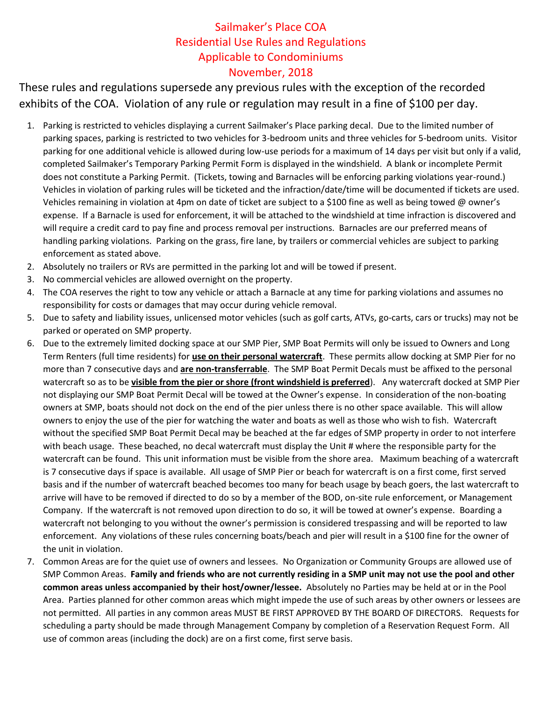## Sailmaker's Place COA Residential Use Rules and Regulations Applicable to Condominiums November, 2018

These rules and regulations supersede any previous rules with the exception of the recorded exhibits of the COA. Violation of any rule or regulation may result in a fine of \$100 per day.

- 1. Parking is restricted to vehicles displaying a current Sailmaker's Place parking decal. Due to the limited number of parking spaces, parking is restricted to two vehicles for 3-bedroom units and three vehicles for 5-bedroom units. Visitor parking for one additional vehicle is allowed during low-use periods for a maximum of 14 days per visit but only if a valid, completed Sailmaker's Temporary Parking Permit Form is displayed in the windshield. A blank or incomplete Permit does not constitute a Parking Permit. (Tickets, towing and Barnacles will be enforcing parking violations year-round.) Vehicles in violation of parking rules will be ticketed and the infraction/date/time will be documented if tickets are used. Vehicles remaining in violation at 4pm on date of ticket are subject to a \$100 fine as well as being towed @ owner's expense. If a Barnacle is used for enforcement, it will be attached to the windshield at time infraction is discovered and will require a credit card to pay fine and process removal per instructions. Barnacles are our preferred means of handling parking violations. Parking on the grass, fire lane, by trailers or commercial vehicles are subject to parking enforcement as stated above.
- 2. Absolutely no trailers or RVs are permitted in the parking lot and will be towed if present.
- 3. No commercial vehicles are allowed overnight on the property.
- 4. The COA reserves the right to tow any vehicle or attach a Barnacle at any time for parking violations and assumes no responsibility for costs or damages that may occur during vehicle removal.
- 5. Due to safety and liability issues, unlicensed motor vehicles (such as golf carts, ATVs, go-carts, cars or trucks) may not be parked or operated on SMP property.
- 6. Due to the extremely limited docking space at our SMP Pier, SMP Boat Permits will only be issued to Owners and Long Term Renters (full time residents) for **use on their personal watercraft**. These permits allow docking at SMP Pier for no more than 7 consecutive days and **are non-transferrable**. The SMP Boat Permit Decals must be affixed to the personal watercraft so as to be **visible from the pier or shore (front windshield is preferred**). Any watercraft docked at SMP Pier not displaying our SMP Boat Permit Decal will be towed at the Owner's expense. In consideration of the non-boating owners at SMP, boats should not dock on the end of the pier unless there is no other space available. This will allow owners to enjoy the use of the pier for watching the water and boats as well as those who wish to fish. Watercraft without the specified SMP Boat Permit Decal may be beached at the far edges of SMP property in order to not interfere with beach usage. These beached, no decal watercraft must display the Unit # where the responsible party for the watercraft can be found. This unit information must be visible from the shore area. Maximum beaching of a watercraft is 7 consecutive days if space is available. All usage of SMP Pier or beach for watercraft is on a first come, first served basis and if the number of watercraft beached becomes too many for beach usage by beach goers, the last watercraft to arrive will have to be removed if directed to do so by a member of the BOD, on-site rule enforcement, or Management Company. If the watercraft is not removed upon direction to do so, it will be towed at owner's expense. Boarding a watercraft not belonging to you without the owner's permission is considered trespassing and will be reported to law enforcement. Any violations of these rules concerning boats/beach and pier will result in a \$100 fine for the owner of the unit in violation.
- 7. Common Areas are for the quiet use of owners and lessees. No Organization or Community Groups are allowed use of SMP Common Areas. **Family and friends who are not currently residing in a SMP unit may not use the pool and other common areas unless accompanied by their host/owner/lessee.** Absolutely no Parties may be held at or in the Pool Area. Parties planned for other common areas which might impede the use of such areas by other owners or lessees are not permitted. All parties in any common areas MUST BE FIRST APPROVED BY THE BOARD OF DIRECTORS. Requests for scheduling a party should be made through Management Company by completion of a Reservation Request Form. All use of common areas (including the dock) are on a first come, first serve basis.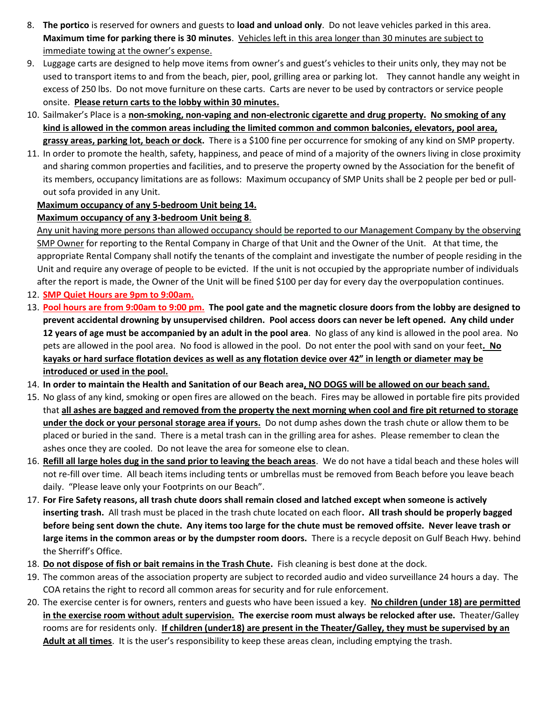- 8. **The portico** is reserved for owners and guests to **load and unload only**. Do not leave vehicles parked in this area. **Maximum time for parking there is 30 minutes**. Vehicles left in this area longer than 30 minutes are subject to immediate towing at the owner's expense.
- 9. Luggage carts are designed to help move items from owner's and guest's vehicles to their units only, they may not be used to transport items to and from the beach, pier, pool, grilling area or parking lot. They cannot handle any weight in excess of 250 lbs. Do not move furniture on these carts. Carts are never to be used by contractors or service people onsite. **Please return carts to the lobby within 30 minutes.**
- 10. Sailmaker's Place is a **non-smoking, non-vaping and non-electronic cigarette and drug property. No smoking of any kind is allowed in the common areas including the limited common and common balconies, elevators, pool area, grassy areas, parking lot, beach or dock.** There is a \$100 fine per occurrence for smoking of any kind on SMP property.
- 11. In order to promote the health, safety, happiness, and peace of mind of a majority of the owners living in close proximity and sharing common properties and facilities, and to preserve the property owned by the Association for the benefit of its members, occupancy limitations are as follows: Maximum occupancy of SMP Units shall be 2 people per bed or pullout sofa provided in any Unit.

## **Maximum occupancy of any 5-bedroom Unit being 14.**

## **Maximum occupancy of any 3-bedroom Unit being 8**.

Any unit having more persons than allowed occupancy should be reported to our Management Company by the observing SMP Owner for reporting to the Rental Company in Charge of that Unit and the Owner of the Unit. At that time, the appropriate Rental Company shall notify the tenants of the complaint and investigate the number of people residing in the Unit and require any overage of people to be evicted. If the unit is not occupied by the appropriate number of individuals after the report is made, the Owner of the Unit will be fined \$100 per day for every day the overpopulation continues.

- 12. **SMP Quiet Hours are 9pm to 9:00am.**
- 13. **Pool hours are from 9:00am to 9:00 pm. The pool gate and the magnetic closure doors from the lobby are designed to prevent accidental drowning by unsupervised children. Pool access doors can never be left opened. Any child under 12 years of age must be accompanied by an adult in the pool area**. No glass of any kind is allowed in the pool area. No pets are allowed in the pool area. No food is allowed in the pool. Do not enter the pool with sand on your feet**. No kayaks or hard surface flotation devices as well as any flotation device over 42" in length or diameter may be introduced or used in the pool.**
- 14. **In order to maintain the Health and Sanitation of our Beach area, NO DOGS will be allowed on our beach sand.**
- 15. No glass of any kind, smoking or open fires are allowed on the beach. Fires may be allowed in portable fire pits provided that **all ashes are bagged and removed from the property the next morning when cool and fire pit returned to storage under the dock or your personal storage area if yours.** Do not dump ashes down the trash chute or allow them to be placed or buried in the sand. There is a metal trash can in the grilling area for ashes. Please remember to clean the ashes once they are cooled. Do not leave the area for someone else to clean.
- 16. **Refill all large holes dug in the sand prior to leaving the beach areas**. We do not have a tidal beach and these holes will not re-fill over time. All beach items including tents or umbrellas must be removed from Beach before you leave beach daily. "Please leave only your Footprints on our Beach".
- 17. **For Fire Safety reasons, all trash chute doors shall remain closed and latched except when someone is actively inserting trash.** All trash must be placed in the trash chute located on each floor**. All trash should be properly bagged before being sent down the chute. Any items too large for the chute must be removed offsite. Never leave trash or large items in the common areas or by the dumpster room doors.** There is a recycle deposit on Gulf Beach Hwy. behind the Sherriff's Office.
- 18. **Do not dispose of fish or bait remains in the Trash Chute.** Fish cleaning is best done at the dock.
- 19. The common areas of the association property are subject to recorded audio and video surveillance 24 hours a day. The COA retains the right to record all common areas for security and for rule enforcement.
- 20. The exercise center is for owners, renters and guests who have been issued a key. **No children (under 18) are permitted in the exercise room without adult supervision. The exercise room must always be relocked after use.** Theater/Galley rooms are for residents only. **If children (under18) are present in the Theater/Galley, they must be supervised by an Adult at all times**.It is the user's responsibility to keep these areas clean, including emptying the trash.